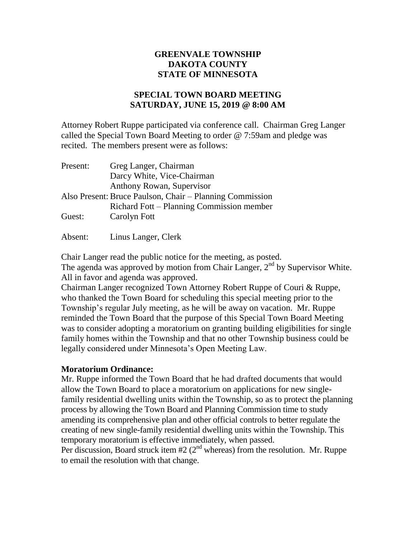## **GREENVALE TOWNSHIP DAKOTA COUNTY STATE OF MINNESOTA**

## **SPECIAL TOWN BOARD MEETING SATURDAY, JUNE 15, 2019 @ 8:00 AM**

Attorney Robert Ruppe participated via conference call. Chairman Greg Langer called the Special Town Board Meeting to order @ 7:59am and pledge was recited. The members present were as follows:

| Present: | Greg Langer, Chairman                                    |
|----------|----------------------------------------------------------|
|          | Darcy White, Vice-Chairman                               |
|          | Anthony Rowan, Supervisor                                |
|          | Also Present: Bruce Paulson, Chair – Planning Commission |
|          | Richard Fott – Planning Commission member                |
| Guest:   | Carolyn Fott                                             |

Absent: Linus Langer, Clerk

Chair Langer read the public notice for the meeting, as posted. The agenda was approved by motion from Chair Langer,  $2<sup>nd</sup>$  by Supervisor White. All in favor and agenda was approved.

Chairman Langer recognized Town Attorney Robert Ruppe of Couri & Ruppe, who thanked the Town Board for scheduling this special meeting prior to the Township's regular July meeting, as he will be away on vacation. Mr. Ruppe reminded the Town Board that the purpose of this Special Town Board Meeting was to consider adopting a moratorium on granting building eligibilities for single family homes within the Township and that no other Township business could be legally considered under Minnesota's Open Meeting Law.

## **Moratorium Ordinance:**

Mr. Ruppe informed the Town Board that he had drafted documents that would allow the Town Board to place a moratorium on applications for new singlefamily residential dwelling units within the Township, so as to protect the planning process by allowing the Town Board and Planning Commission time to study amending its comprehensive plan and other official controls to better regulate the creating of new single-family residential dwelling units within the Township. This temporary moratorium is effective immediately, when passed.

Per discussion, Board struck item #2 ( $2<sup>nd</sup>$  whereas) from the resolution. Mr. Ruppe to email the resolution with that change.